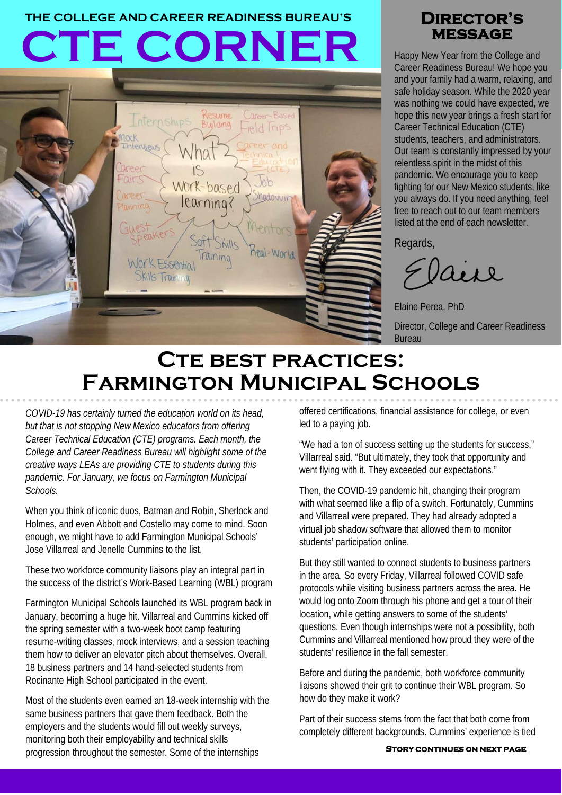# **CTE CORNER THE COLLEGE AND CAREER READINESS BUREAU'S Director's**



# **message**

Happy New Year from the College and Career Readiness Bureau! We hope you and your family had a warm, relaxing, and safe holiday season. While the 2020 year was nothing we could have expected, we hope this new year brings a fresh start for Career Technical Education (CTE) students, teachers, and administrators. Our team is constantly impressed by your relentless spirit in the midst of this pandemic. We encourage you to keep fighting for our New Mexico students, like you always do. If you need anything, feel free to reach out to our team members listed at the end of each newsletter.

Regards,

aise

Elaine Perea, PhD Director, College and Career Readiness **Bureau** 

# **CTE BEST PRACTICES: Farmington Municipal Schools**

*COVID-19 has certainly turned the education world on its head, but that is not stopping New Mexico educators from offering Career Technical Education (CTE) programs. Each month, the College and Career Readiness Bureau will highlight some of the creative ways LEAs are providing CTE to students during this pandemic. For January, we focus on Farmington Municipal Schools.*

When you think of iconic duos, Batman and Robin, Sherlock and Holmes, and even Abbott and Costello may come to mind. Soon enough, we might have to add Farmington Municipal Schools' Jose Villarreal and Jenelle Cummins to the list.

These two workforce community liaisons play an integral part in the success of the district's Work-Based Learning (WBL) program

Farmington Municipal Schools launched its WBL program back in January, becoming a huge hit. Villarreal and Cummins kicked off the spring semester with a two-week boot camp featuring resume-writing classes, mock interviews, and a session teaching them how to deliver an elevator pitch about themselves. Overall, 18 business partners and 14 hand-selected students from Rocinante High School participated in the event.

Most of the students even earned an 18-week internship with the same business partners that gave them feedback. Both the employers and the students would fill out weekly surveys, monitoring both their employability and technical skills progression throughout the semester. Some of the internships

offered certifications, financial assistance for college, or even led to a paying job.

"We had a ton of success setting up the students for success," Villarreal said. "But ultimately, they took that opportunity and went flying with it. They exceeded our expectations."

Then, the COVID-19 pandemic hit, changing their program with what seemed like a flip of a switch. Fortunately, Cummins and Villarreal were prepared. They had already adopted a virtual job shadow software that allowed them to monitor students' participation online.

But they still wanted to connect students to business partners in the area. So every Friday, Villarreal followed COVID safe protocols while visiting business partners across the area. He would log onto Zoom through his phone and get a tour of their location, while getting answers to some of the students' questions. Even though internships were not a possibility, both Cummins and Villarreal mentioned how proud they were of the students' resilience in the fall semester.

Before and during the pandemic, both workforce community liaisons showed their grit to continue their WBL program. So how do they make it work?

Part of their success stems from the fact that both come from completely different backgrounds. Cummins' experience is tied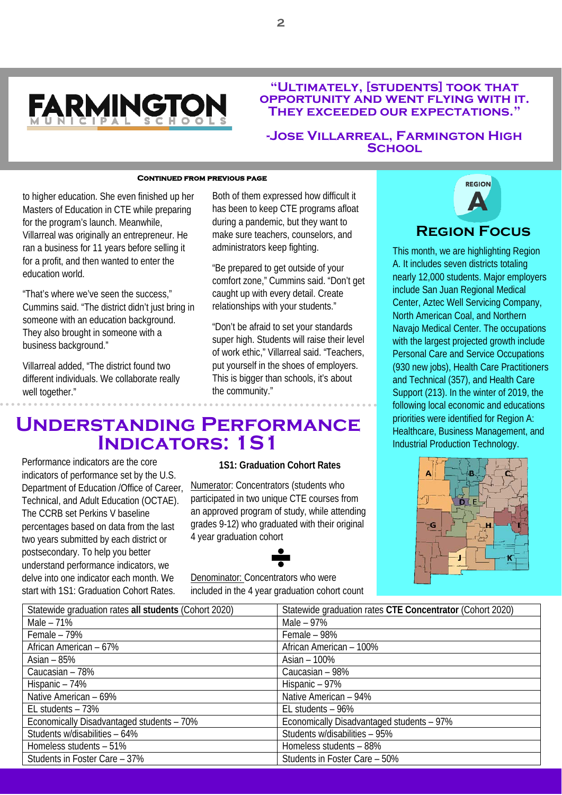

#### **"Ultimately, [students] took that opportunity and went flying with it. They exceeded our expectations."**

#### **-Jose Villarreal, Farmington High School**

#### **Continued from previous page**

to higher education. She even finished up her Masters of Education in CTE while preparing for the program's launch. Meanwhile, Villarreal was originally an entrepreneur. He ran a business for 11 years before selling it for a profit, and then wanted to enter the education world.

"That's where we've seen the success," Cummins said. "The district didn't just bring in someone with an education background. They also brought in someone with a business background."

Villarreal added, "The district found two different individuals. We collaborate really well together."

Both of them expressed how difficult it has been to keep CTE programs afloat during a pandemic, but they want to make sure teachers, counselors, and administrators keep fighting.

"Be prepared to get outside of your comfort zone," Cummins said. "Don't get caught up with every detail. Create relationships with your students."

"Don't be afraid to set your standards super high. Students will raise their level of work ethic," Villarreal said. "Teachers, put yourself in the shoes of employers. This is bigger than schools, it's about the community."



This month, we are highlighting Region A. It includes seven districts totaling nearly 12,000 students. Major employers include San Juan Regional Medical Center, Aztec Well Servicing Company, North American Coal, and Northern Navajo Medical Center. The occupations with the largest projected growth include Personal Care and Service Occupations (930 new jobs), Health Care Practitioners and Technical (357), and Health Care Support (213). In the winter of 2019, the following local economic and educations priorities were identified for Region A: Healthcare, Business Management, and Industrial Production Technology.

# DLE

# **Understanding Performance Indicators: 1S1**

Performance indicators are the core indicators of performance set by the U.S. Department of Education /Office of Career, Technical, and Adult Education (OCTAE). The CCRB set Perkins V baseline percentages based on data from the last two years submitted by each district or postsecondary. To help you better understand performance indicators, we delve into one indicator each month. We start with 1S1: Graduation Cohort Rates.

#### **1S1: Graduation Cohort Rates**

Numerator: Concentrators (students who participated in two unique CTE courses from an approved program of study, while attending grades 9-12) who graduated with their original 4 year graduation cohort

Denominator: Concentrators who were included in the 4 year graduation cohort count

| Statewide graduation rates all students (Cohort 2020) | Statewide graduation rates CTE Concentrator (Cohort 2020) |
|-------------------------------------------------------|-----------------------------------------------------------|
| Male $-71%$                                           | Male $-97%$                                               |
| Female $-79%$                                         | Female - 98%                                              |
| African American - 67%                                | African American - 100%                                   |
| Asian $-85%$                                          | Asian $-100\%$                                            |
| Caucasian - 78%                                       | Caucasian - 98%                                           |
| Hispanic - 74%                                        | Hispanic - 97%                                            |
| Native American - 69%                                 | Native American - 94%                                     |
| EL students $-73%$                                    | EL students - 96%                                         |
| Economically Disadvantaged students - 70%             | Economically Disadvantaged students - 97%                 |
| Students w/disabilities - 64%                         | Students w/disabilities - 95%                             |
| Homeless students - 51%                               | Homeless students - 88%                                   |
| Students in Foster Care - 37%                         | Students in Foster Care - 50%                             |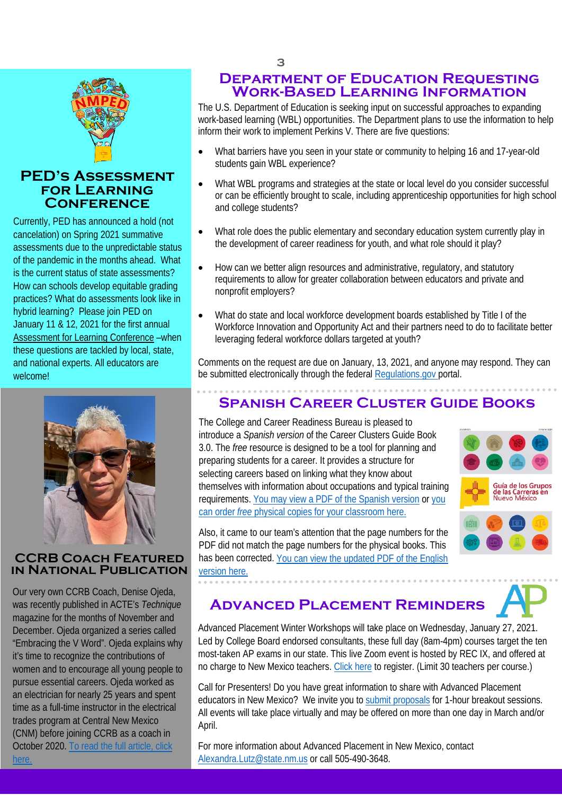

### **PED's Assessment for Learning Conference**

Currently, PED has announced a hold (not cancelation) on Spring 2021 summative assessments due to the unpredictable status of the pandemic in the months ahead. What is the current status of state assessments? How can schools develop equitable grading practices? What do assessments look like in hybrid learning? Please join PED on January 11 & 12, 2021 for the first annual [Assessment for Learning Conference](https://webnew.ped.state.nm.us/wp-content/uploads/2020/12/PED-Save-the-Date_Assessment-for-Learning-Conference_Jan-11_12_2021.pdf) –when these questions are tackled by local, state, and national experts. All educators are welcome!



### **CCRB Coach Featured in National Publication**

Our very own CCRB Coach, Denise Ojeda, was recently published in ACTE's *Technique* magazine for the months of November and December. Ojeda organized a series called "Embracing the V Word". Ojeda explains why it's time to recognize the contributions of women and to encourage all young people to pursue essential careers. Ojeda worked as an electrician for nearly 25 years and spent time as a full-time instructor in the electrical trades program at Central New Mexico (CNM) before joining CCRB as a coach in October 2020. [To read the full article, click](http://digital.graphcompubs.com/publication/?m=33580&i=677754&p=40&pp=1)  [here.](http://digital.graphcompubs.com/publication/?m=33580&i=677754&p=40&pp=1)

# **Department of Education Requesting Work-Based Learning Information**

The U.S. Department of Education is seeking input on successful approaches to expanding work-based learning (WBL) opportunities. The Department plans to use the information to help inform their work to implement Perkins V. There are five questions:

- HEADER PLACE HERE STUDENTS STUDENTS • What barriers have you seen in your state or community to helping 16 and 17-year-old students gain WBL experience?
	- What WBL programs and strategies at the state or local level do you consider successful or can be efficiently brought to scale, including apprenticeship opportunities for high school and college students?
	- What role does the public elementary and secondary education system currently play in the development of career readiness for youth, and what role should it play?
	- How can we better align resources and administrative, regulatory, and statutory requirements to allow for greater collaboration between educators and private and nonprofit employers?
	- What do state and local workforce development boards established by Title I of the Workforce Innovation and Opportunity Act and their partners need to do to facilitate better leveraging federal workforce dollars targeted at youth?

Comments on the request are due on January, 13, 2021, and anyone may respond. They can be submitted electronically through the federal [Regulations.gov p](https://www.regulations.gov/)ortal.

# **Spanish Career Cluster Guide Books**

The College and Career Readiness Bureau is pleased to introduce a *Spanish version* of the Career Clusters Guide Book 3.0. The *free* resource is designed to be a tool for planning and preparing students for a career. It provides a structure for selecting careers based on linking what they know about themselves with information about occupations and typical training requirements[. You may view a PDF of the Spanish version](https://webnew.ped.state.nm.us/wp-content/uploads/2020/12/CCGB-Spanish-Final.pdf) or [you](https://www.surveymonkey.com/r/R9VVTGP)  can order *free* [physical copies for your classroom here.](https://www.surveymonkey.com/r/R9VVTGP)



Also, it came to our team's attention that the page numbers for the PDF did not match the page numbers for the physical books. This has been corrected. [You can view the updated PDF of the English](https://p2c-media.s3.us-east-2.amazonaws.com/nm/FINAL+(no+crop+marks)+State+NM+CCGB+2020.pdf)  [version here.](https://p2c-media.s3.us-east-2.amazonaws.com/nm/FINAL+(no+crop+marks)+State+NM+CCGB+2020.pdf)

. . . . . . . . .

# **Advanced Placement Reminders**

Advanced Placement Winter Workshops will take place on Wednesday, January 27, 2021. Led by College Board endorsed consultants, these full day (8am-4pm) courses target the ten most-taken AP exams in our state. This live Zoom event is hosted by REC IX, and offered at no charge to New Mexico teachers. [Click here](https://protect-us.mimecast.com/s/O5QvCpYqAOfyVWQMFVG308?domain=rec9nm.us17.list-manage.com) to register. (Limit 30 teachers per course.)

Call for Presenters! Do you have great information to share with Advanced Placement educators in New Mexico? We invite you t[o submit proposals](https://docs.google.com/forms/d/e/1FAIpQLScEsvWJUxiAkTiwttNJ3nQrUmb0gFj9VUTyGD4qzJ79g5WQEQ/viewform?vc=0&c=0&w=1&flr=0) for 1-hour breakout sessions. All events will take place virtually and may be offered on more than one day in March and/or April.

For more information about Advanced Placement in New Mexico, contact [Alexandra.Lutz@state.nm.us](mailto:Alexandra.Lutz@state.nm.us) or call 505-490-3648.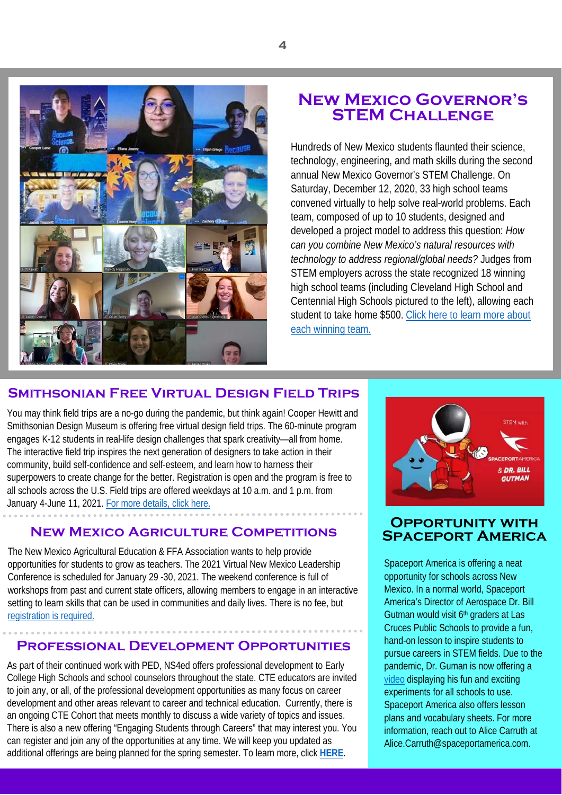

# **New Mexico Governor's STEM CHALLENGE**

Hundreds of New Mexico students flaunted their science, technology, engineering, and math skills during the second annual New Mexico Governor's STEM Challenge. On Saturday, December 12, 2020, 33 high school teams convened virtually to help solve real-world problems. Each team, composed of up to 10 students, designed and developed a project model to address this question: *How can you combine New Mexico's natural resources with technology to address regional/global needs?* Judges from STEM employers across the state recognized 18 winning high school teams (including Cleveland High School and Centennial High Schools pictured to the left), allowing each student to take home \$500. Click here to learn more about [each winning team.](http://newscenter.nmsu.edu/Articles/view/14538/nmsu-to-host-virtual-new-mexico-governor-s-stem-challenge-dec-12)

# **Smithsonian Free Virtual Design Field Trips**

You may think field trips are a no-go during the pandemic, but think again! Cooper Hewitt and Smithsonian Design Museum is offering free virtual design field trips. The 60-minute program engages K-12 students in real-life design challenges that spark creativity—all from home. The interactive field trip inspires the next generation of designers to take action in their community, build self-confidence and self-esteem, and learn how to harness their superpowers to create change for the better. Registration is open and the program is free to all schools across the U.S. Field trips are offered weekdays at 10 a.m. and 1 p.m. from January 4-June 11, 2021. For more details, click here.

## **NEW MEXICO AGRICULTURE COMPETITIONS**

The New Mexico Agricultural Education & FFA Association wants to help provide opportunities for students to grow as teachers. The 2021 Virtual New Mexico Leadership Conference is scheduled for January 29 -30, 2021. The weekend conference is full of workshops from past and current state officers, allowing members to engage in an interactive setting to learn skills that can be used in communities and daily lives. There is no fee, bu[t](http://www.nmffa.org/nmlc.html) [registration is required.](http://www.nmffa.org/nmlc.html)

### **Professional Development Opportunities**

As part of their continued work with PED, NS4ed offers professional development to Early College High Schools and school counselors throughout the state. CTE educators are invited to join any, or all, of the professional development opportunities as many focus on career development and other areas relevant to career and technical education. Currently, there is an ongoing CTE Cohort that meets monthly to discuss a wide variety of topics and issues. There is also a new offering "Engaging Students through Careers" that may interest you. You can register and join any of the opportunities at any time. We will keep you updated as additional offerings are being planned for the spring semester. To learn more, click **[HERE](https://protect-us.mimecast.com/s/ncLgCrkvDQu4NpjQhjczg3?domain=echs-nm.com/)**.



## **Opportunity with Spaceport America**

Spaceport America is offering a neat opportunity for schools across New Mexico. In a normal world, Spaceport America's Director of Aerospace Dr. Bill Gutman would visit 6<sup>th</sup> graders at Las Cruces Public Schools to provide a fun, hand-on lesson to inspire students to pursue careers in STEM fields. Due to the pandemic, Dr. Guman is now offering a [video](https://youtu.be/B60mi7fAbr8) displaying his fun and exciting experiments for all schools to use. Spaceport America also offers lesson plans and vocabulary sheets. For more information, reach out to Alice Carruth at Alice.Carruth@spaceportamerica.com.